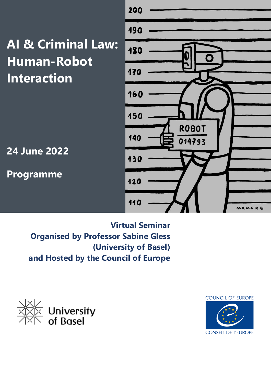**AI & Criminal Law: Human-Robot Interaction**

**24 June 2022**

**Programme**



**Virtual Seminar Organised by Professor Sabine Gless (University of Basel) and Hosted by the Council of Europe** 



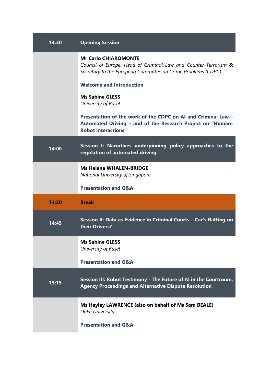| 13:30 | <b>Opening Session</b>                                                                                                                                         |
|-------|----------------------------------------------------------------------------------------------------------------------------------------------------------------|
|       | <b>Mr Carlo CHIAROMONTE</b><br>Council of Europe, Head of Criminal Law and Counter-Terrorism &<br>Secretary to the European Committee on Crime Problems (CDPC) |
|       | <b>Welcome and Introduction</b>                                                                                                                                |
|       | <b>Ms Sabine GLESS</b><br>University of Basel                                                                                                                  |
|       | Presentation of the work of the CDPC on AI and Criminal Law -<br>Automated Driving - and of the Research Project on "Human-<br><b>Robot Interactions"</b>      |
| 14:00 | Session I: Narratives underpinning policy approaches to the<br>regulation of automated driving                                                                 |
|       | <b>Ms Helena WHALEN-BRIDGE</b><br><b>National University of Singapore</b>                                                                                      |
|       | <b>Presentation and Q&amp;A</b>                                                                                                                                |
| 14:30 | <b>Break</b>                                                                                                                                                   |
| 14:45 | Session II: Data as Evidence in Criminal Courts - Car's Ratting on<br>their Drivers?                                                                           |
|       | <b>Ms Sabine GLESS</b><br>University of Basel                                                                                                                  |
|       | <b>Presentation and Q&amp;A</b>                                                                                                                                |
| 15:15 | Session III: Robot Testimony - The Future of AI in the Courtroom,<br><b>Agency Proceedings and Alternative Dispute Resolution</b>                              |
|       | Ms Hayley LAWRENCE (also on behalf of Ms Sara BEALE)<br><b>Duke University</b>                                                                                 |
|       | <b>Presentation and Q&amp;A</b>                                                                                                                                |